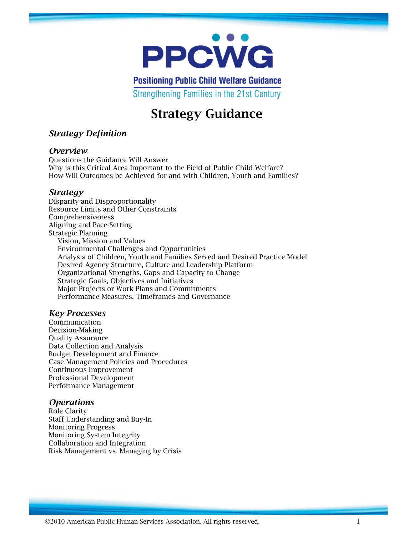

**Positioning Public Child Welfare Guidance** 

Strengthening Families in the 21st Century

# **Strategy Guidance**

## *Strategy Definition*

#### *Overview*

Questions the Guidance Will Answer Why is this Critical Area Important to the Field of Public Child Welfare? How Will Outcomes be Achieved for and with Children, Youth and Families?

#### *Strategy*

Disparity and Disproportionality Resource Limits and Other Constraints Comprehensiveness Aligning and Pace-Setting Strategic Planning Vision, Mission and Values Environmental Challenges and Opportunities Analysis of Children, Youth and Families Served and Desired Practice Model Desired Agency Structure, Culture and Leadership Platform Organizational Strengths, Gaps and Capacity to Change Strategic Goals, Objectives and Initiatives Major Projects or Work Plans and Commitments Performance Measures, Timeframes and Governance

#### *Key Processes*

Communication Decision-Making Quality Assurance Data Collection and Analysis Budget Development and Finance Case Management Policies and Procedures Continuous Improvement Professional Development Performance Management

#### *Operations*

Role Clarity Staff Understanding and Buy-In Monitoring Progress Monitoring System Integrity Collaboration and Integration Risk Management vs. Managing by Crisis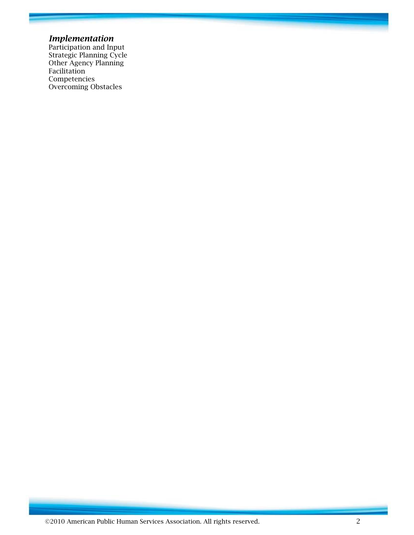#### *Implementation*

Participation and Input Strategic Planning Cycle Other Agency Planning Facilitation Competencies Overcoming Obstacles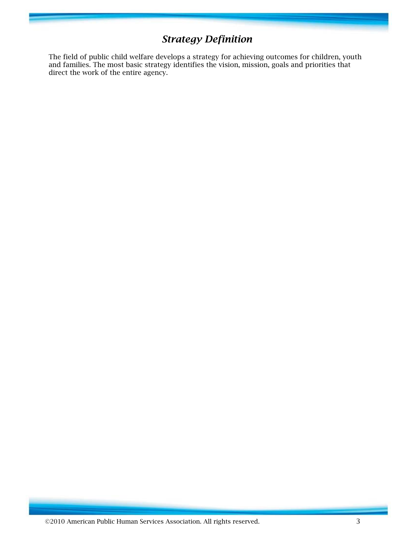# *Strategy Definition*

The field of public child welfare develops a strategy for achieving outcomes for children, youth and families. The most basic strategy identifies the vision, mission, goals and priorities that direct the work of the entire agency.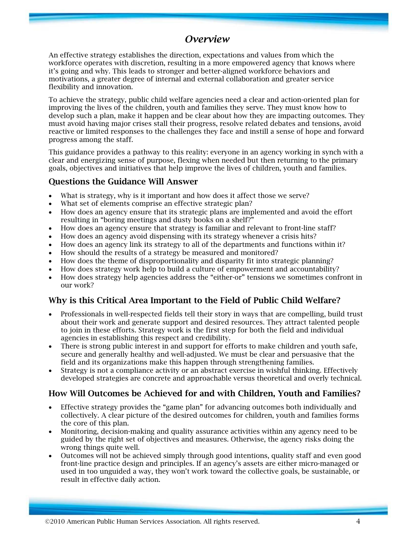# *Overview*

An effective strategy establishes the direction, expectations and values from which the workforce operates with discretion, resulting in a more empowered agency that knows where it's going and why. This leads to stronger and better-aligned workforce behaviors and motivations, a greater degree of internal and external collaboration and greater service flexibility and innovation.

To achieve the strategy, public child welfare agencies need a clear and action-oriented plan for improving the lives of the children, youth and families they serve. They must know how to develop such a plan, make it happen and be clear about how they are impacting outcomes. They must avoid having major crises stall their progress, resolve related debates and tensions, avoid reactive or limited responses to the challenges they face and instill a sense of hope and forward progress among the staff.

This guidance provides a pathway to this reality: everyone in an agency working in synch with a clear and energizing sense of purpose, flexing when needed but then returning to the primary goals, objectives and initiatives that help improve the lives of children, youth and families.

# **Questions the Guidance Will Answer**

- What is strategy, why is it important and how does it affect those we serve?
- What set of elements comprise an effective strategic plan?
- How does an agency ensure that its strategic plans are implemented and avoid the effort resulting in "boring meetings and dusty books on a shelf?"
- How does an agency ensure that strategy is familiar and relevant to front-line staff?
- How does an agency avoid dispensing with its strategy whenever a crisis hits?
- How does an agency link its strategy to all of the departments and functions within it?
- How should the results of a strategy be measured and monitored?
- How does the theme of disproportionality and disparity fit into strategic planning?
- How does strategy work help to build a culture of empowerment and accountability?
- How does strategy help agencies address the "either-or" tensions we sometimes confront in our work?

# **Why is this Critical Area Important to the Field of Public Child Welfare?**

- Professionals in well-respected fields tell their story in ways that are compelling, build trust about their work and generate support and desired resources. They attract talented people to join in these efforts. Strategy work is the first step for both the field and individual agencies in establishing this respect and credibility.
- There is strong public interest in and support for efforts to make children and youth safe, secure and generally healthy and well-adjusted. We must be clear and persuasive that the field and its organizations make this happen through strengthening families.
- Strategy is not a compliance activity or an abstract exercise in wishful thinking. Effectively developed strategies are concrete and approachable versus theoretical and overly technical.

# **How Will Outcomes be Achieved for and with Children, Youth and Families?**

- Effective strategy provides the "game plan" for advancing outcomes both individually and collectively. A clear picture of the desired outcomes for children, youth and families forms the core of this plan.
- Monitoring, decision-making and quality assurance activities within any agency need to be guided by the right set of objectives and measures. Otherwise, the agency risks doing the wrong things quite well.
- Outcomes will not be achieved simply through good intentions, quality staff and even good front-line practice design and principles. If an agency's assets are either micro-managed or used in too unguided a way, they won't work toward the collective goals, be sustainable, or result in effective daily action.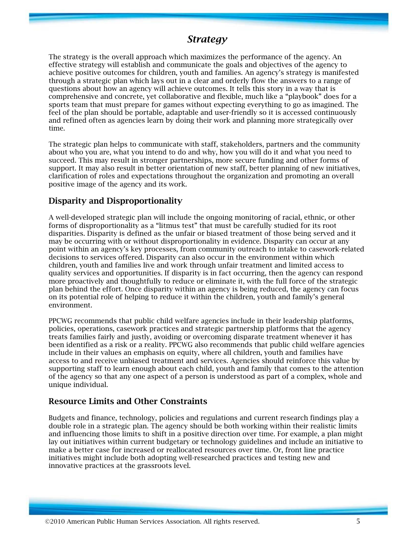# *Strategy*

The strategy is the overall approach which maximizes the performance of the agency. An effective strategy will establish and communicate the goals and objectives of the agency to achieve positive outcomes for children, youth and families. An agency's strategy is manifested through a strategic plan which lays out in a clear and orderly flow the answers to a range of questions about how an agency will achieve outcomes. It tells this story in a way that is comprehensive and concrete, yet collaborative and flexible, much like a "playbook" does for a sports team that must prepare for games without expecting everything to go as imagined. The feel of the plan should be portable, adaptable and user-friendly so it is accessed continuously and refined often as agencies learn by doing their work and planning more strategically over time.

The strategic plan helps to communicate with staff, stakeholders, partners and the community about who you are, what you intend to do and why, how you will do it and what you need to succeed. This may result in stronger partnerships, more secure funding and other forms of support. It may also result in better orientation of new staff, better planning of new initiatives, clarification of roles and expectations throughout the organization and promoting an overall positive image of the agency and its work.

#### **Disparity and Disproportionality**

A well-developed strategic plan will include the ongoing monitoring of racial, ethnic, or other forms of disproportionality as a "litmus test" that must be carefully studied for its root disparities. Disparity is defined as the unfair or biased treatment of those being served and it may be occurring with or without disproportionality in evidence. Disparity can occur at any point within an agency's key processes, from community outreach to intake to casework-related decisions to services offered. Disparity can also occur in the environment within which children, youth and families live and work through unfair treatment and limited access to quality services and opportunities. If disparity is in fact occurring, then the agency can respond more proactively and thoughtfully to reduce or eliminate it, with the full force of the strategic plan behind the effort. Once disparity within an agency is being reduced, the agency can focus on its potential role of helping to reduce it within the children, youth and family's general environment.

PPCWG recommends that public child welfare agencies include in their leadership platforms, policies, operations, casework practices and strategic partnership platforms that the agency treats families fairly and justly, avoiding or overcoming disparate treatment whenever it has been identified as a risk or a reality. PPCWG also recommends that public child welfare agencies include in their values an emphasis on equity, where all children, youth and families have access to and receive unbiased treatment and services. Agencies should reinforce this value by supporting staff to learn enough about each child, youth and family that comes to the attention of the agency so that any one aspect of a person is understood as part of a complex, whole and unique individual.

#### **Resource Limits and Other Constraints**

Budgets and finance, technology, policies and regulations and current research findings play a double role in a strategic plan. The agency should be both working within their realistic limits and influencing those limits to shift in a positive direction over time. For example, a plan might lay out initiatives within current budgetary or technology guidelines and include an initiative to make a better case for increased or reallocated resources over time. Or, front line practice initiatives might include both adopting well-researched practices and testing new and innovative practices at the grassroots level.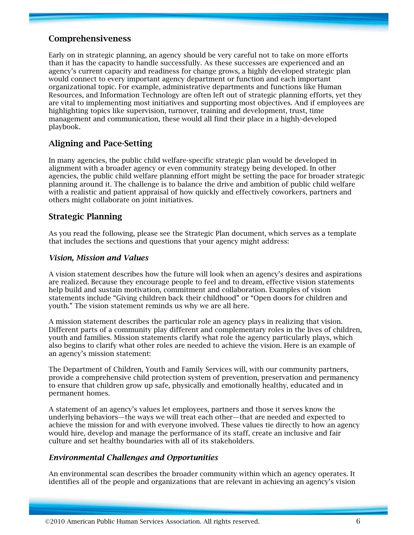## **Comprehensiveness**

Early on in strategic planning, an agency should be very careful not to take on more efforts than it has the capacity to handle successfully. As these successes are experienced and an agency's current capacity and readiness for change grows, a highly developed strategic plan would connect to every important agency department or function and each important organizational topic. For example, administrative departments and functions like Human Resources, and Information Technology are often left out of strategic planning efforts, yet they are vital to implementing most initiatives and supporting most objectives. And if employees are highlighting topics like supervision, turnover, training and development, trust, time management and communication, these would all find their place in a highly-developed playbook.

# **Aligning and Pace-Setting**

In many agencies, the public child welfare-specific strategic plan would be developed in alignment with a broader agency or even community strategy being developed. In other agencies, the public child welfare planning effort might be setting the pace for broader strategic planning around it. The challenge is to balance the drive and ambition of public child welfare with a realistic and patient appraisal of how quickly and effectively coworkers, partners and others might collaborate on joint initiatives.

#### **Strategic Planning**

As you read the following, please see the Strategic Plan document, which serves as a template that includes the sections and questions that your agency might address:

#### *Vision, Mission and Values*

A vision statement describes how the future will look when an agency's desires and aspirations are realized. Because they encourage people to feel and to dream, effective vision statements help build and sustain motivation, commitment and collaboration. Examples of vision statements include "Giving children back their childhood" or "Open doors for children and youth." The vision statement reminds us why we are all here.

A mission statement describes the particular role an agency plays in realizing that vision. Different parts of a community play different and complementary roles in the lives of children, youth and families. Mission statements clarify what role the agency particularly plays, which also begins to clarify what other roles are needed to achieve the vision. Here is an example of an agency's mission statement:

The Department of Children, Youth and Family Services will, with our community partners, provide a comprehensive child protection system of prevention, preservation and permanency to ensure that children grow up safe, physically and emotionally healthy, educated and in permanent homes.

A statement of an agency's values let employees, partners and those it serves know the underlying behaviors—the ways we will treat each other—that are needed and expected to achieve the mission for and with everyone involved. These values tie directly to how an agency would hire, develop and manage the performance of its staff, create an inclusive and fair culture and set healthy boundaries with all of its stakeholders.

#### *Environmental Challenges and Opportunities*

An environmental scan describes the broader community within which an agency operates. It identifies all of the people and organizations that are relevant in achieving an agency's vision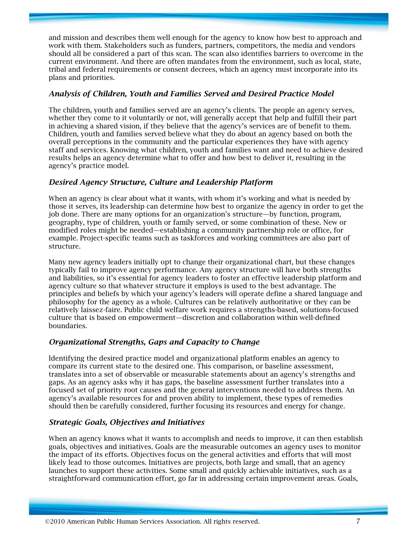and mission and describes them well enough for the agency to know how best to approach and work with them. Stakeholders such as funders, partners, competitors, the media and vendors should all be considered a part of this scan. The scan also identifies barriers to overcome in the current environment. And there are often mandates from the environment, such as local, state, tribal and federal requirements or consent decrees, which an agency must incorporate into its plans and priorities.

#### *Analysis of Children, Youth and Families Served and Desired Practice Model*

The children, youth and families served are an agency's clients. The people an agency serves, whether they come to it voluntarily or not, will generally accept that help and fulfill their part in achieving a shared vision, if they believe that the agency's services are of benefit to them. Children, youth and families served believe what they do about an agency based on both the overall perceptions in the community and the particular experiences they have with agency staff and services. Knowing what children, youth and families want and need to achieve desired results helps an agency determine what to offer and how best to deliver it, resulting in the agency's practice model.

#### *Desired Agency Structure, Culture and Leadership Platform*

When an agency is clear about what it wants, with whom it's working and what is needed by those it serves, its leadership can determine how best to organize the agency in order to get the job done. There are many options for an organization's structure—by function, program, geography, type of children, youth or family served, or some combination of these. New or modified roles might be needed—establishing a community partnership role or office, for example. Project-specific teams such as taskforces and working committees are also part of structure.

Many new agency leaders initially opt to change their organizational chart, but these changes typically fail to improve agency performance. Any agency structure will have both strengths and liabilities, so it's essential for agency leaders to foster an effective leadership platform and agency culture so that whatever structure it employs is used to the best advantage. The principles and beliefs by which your agency's leaders will operate define a shared language and philosophy for the agency as a whole. Cultures can be relatively authoritative or they can be relatively laissez-faire. Public child welfare work requires a strengths-based, solutions-focused culture that is based on empowerment—discretion and collaboration within well-defined boundaries.

#### *Organizational Strengths, Gaps and Capacity to Change*

Identifying the desired practice model and organizational platform enables an agency to compare its current state to the desired one. This comparison, or baseline assessment, translates into a set of observable or measurable statements about an agency's strengths and gaps. As an agency asks why it has gaps, the baseline assessment further translates into a focused set of priority root causes and the general interventions needed to address them. An agency's available resources for and proven ability to implement, these types of remedies should then be carefully considered, further focusing its resources and energy for change.

#### *Strategic Goals, Objectives and Initiatives*

When an agency knows what it wants to accomplish and needs to improve, it can then establish goals, objectives and initiatives. Goals are the measurable outcomes an agency uses to monitor the impact of its efforts. Objectives focus on the general activities and efforts that will most likely lead to those outcomes. Initiatives are projects, both large and small, that an agency launches to support these activities. Some small and quickly achievable initiatives, such as a straightforward communication effort, go far in addressing certain improvement areas. Goals,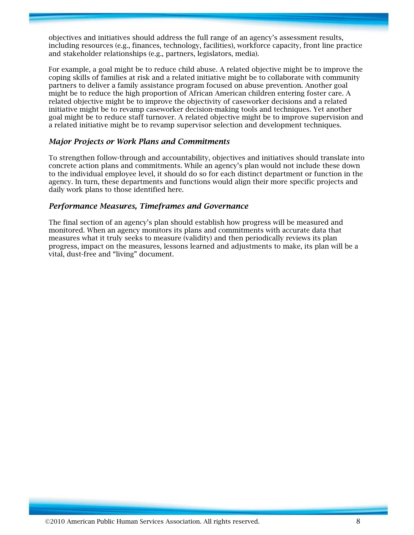objectives and initiatives should address the full range of an agency's assessment results, including resources (e.g., finances, technology, facilities), workforce capacity, front line practice and stakeholder relationships (e.g., partners, legislators, media).

For example, a goal might be to reduce child abuse. A related objective might be to improve the coping skills of families at risk and a related initiative might be to collaborate with community partners to deliver a family assistance program focused on abuse prevention. Another goal might be to reduce the high proportion of African American children entering foster care. A related objective might be to improve the objectivity of caseworker decisions and a related initiative might be to revamp caseworker decision-making tools and techniques. Yet another goal might be to reduce staff turnover. A related objective might be to improve supervision and a related initiative might be to revamp supervisor selection and development techniques.

#### *Major Projects or Work Plans and Commitments*

To strengthen follow-through and accountability, objectives and initiatives should translate into concrete action plans and commitments. While an agency's plan would not include these down to the individual employee level, it should do so for each distinct department or function in the agency. In turn, these departments and functions would align their more specific projects and daily work plans to those identified here.

#### *Performance Measures, Timeframes and Governance*

The final section of an agency's plan should establish how progress will be measured and monitored. When an agency monitors its plans and commitments with accurate data that measures what it truly seeks to measure (validity) and then periodically reviews its plan progress, impact on the measures, lessons learned and adjustments to make, its plan will be a vital, dust-free and "living" document.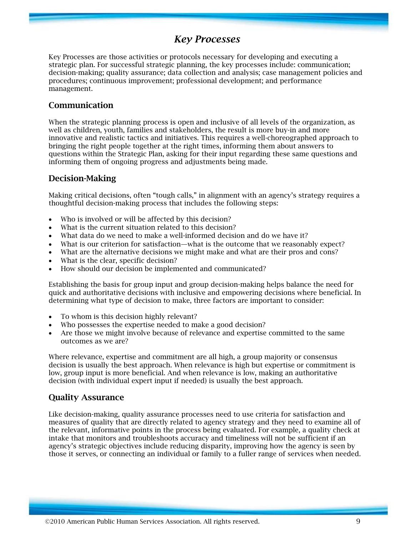# *Key Processes*

Key Processes are those activities or protocols necessary for developing and executing a strategic plan. For successful strategic planning, the key processes include: communication; decision-making; quality assurance; data collection and analysis; case management policies and procedures; continuous improvement; professional development; and performance management.

#### **Communication**

When the strategic planning process is open and inclusive of all levels of the organization, as well as children, youth, families and stakeholders, the result is more buy-in and more innovative and realistic tactics and initiatives. This requires a well-choreographed approach to bringing the right people together at the right times, informing them about answers to questions within the Strategic Plan, asking for their input regarding these same questions and informing them of ongoing progress and adjustments being made.

#### **Decision-Making**

Making critical decisions, often "tough calls," in alignment with an agency's strategy requires a thoughtful decision-making process that includes the following steps:

- Who is involved or will be affected by this decision?
- What is the current situation related to this decision?
- What data do we need to make a well-informed decision and do we have it?
- What is our criterion for satisfaction—what is the outcome that we reasonably expect?
- What are the alternative decisions we might make and what are their pros and cons?
- What is the clear, specific decision?
- How should our decision be implemented and communicated?

Establishing the basis for group input and group decision-making helps balance the need for quick and authoritative decisions with inclusive and empowering decisions where beneficial. In determining what type of decision to make, three factors are important to consider:

- To whom is this decision highly relevant?
- Who possesses the expertise needed to make a good decision?
- Are those we might involve because of relevance and expertise committed to the same outcomes as we are?

Where relevance, expertise and commitment are all high, a group majority or consensus decision is usually the best approach. When relevance is high but expertise or commitment is low, group input is more beneficial. And when relevance is low, making an authoritative decision (with individual expert input if needed) is usually the best approach.

#### **Quality Assurance**

Like decision-making, quality assurance processes need to use criteria for satisfaction and measures of quality that are directly related to agency strategy and they need to examine all of the relevant, informative points in the process being evaluated. For example, a quality check at intake that monitors and troubleshoots accuracy and timeliness will not be sufficient if an agency's strategic objectives include reducing disparity, improving how the agency is seen by those it serves, or connecting an individual or family to a fuller range of services when needed.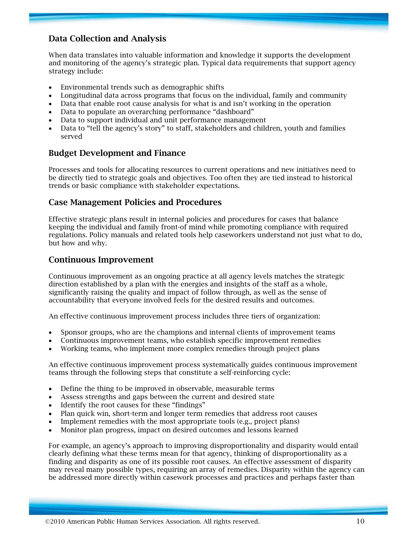# **Data Collection and Analysis**

When data translates into valuable information and knowledge it supports the development and monitoring of the agency's strategic plan. Typical data requirements that support agency strategy include:

- Environmental trends such as demographic shifts
- Longitudinal data across programs that focus on the individual, family and community
- Data that enable root cause analysis for what is and isn't working in the operation
- Data to populate an overarching performance "dashboard"
- Data to support individual and unit performance management
- Data to "tell the agency's story" to staff, stakeholders and children, youth and families served

#### **Budget Development and Finance**

Processes and tools for allocating resources to current operations and new initiatives need to be directly tied to strategic goals and objectives. Too often they are tied instead to historical trends or basic compliance with stakeholder expectations.

#### **Case Management Policies and Procedures**

Effective strategic plans result in internal policies and procedures for cases that balance keeping the individual and family front-of mind while promoting compliance with required regulations. Policy manuals and related tools help caseworkers understand not just what to do, but how and why.

#### **Continuous Improvement**

Continuous improvement as an ongoing practice at all agency levels matches the strategic direction established by a plan with the energies and insights of the staff as a whole, significantly raising the quality and impact of follow through, as well as the sense of accountability that everyone involved feels for the desired results and outcomes.

An effective continuous improvement process includes three tiers of organization:

- Sponsor groups, who are the champions and internal clients of improvement teams
- Continuous improvement teams, who establish specific improvement remedies
- Working teams, who implement more complex remedies through project plans

An effective continuous improvement process systematically guides continuous improvement teams through the following steps that constitute a self-reinforcing cycle:

- Define the thing to be improved in observable, measurable terms
- Assess strengths and gaps between the current and desired state
- Identify the root causes for these "findings"
- Plan quick win, short-term and longer term remedies that address root causes
- Implement remedies with the most appropriate tools (e.g., project plans)
- Monitor plan progress, impact on desired outcomes and lessons learned

For example, an agency's approach to improving disproportionality and disparity would entail clearly defining what these terms mean for that agency, thinking of disproportionality as a finding and disparity as one of its possible root causes. An effective assessment of disparity may reveal many possible types, requiring an array of remedies. Disparity within the agency can be addressed more directly within casework processes and practices and perhaps faster than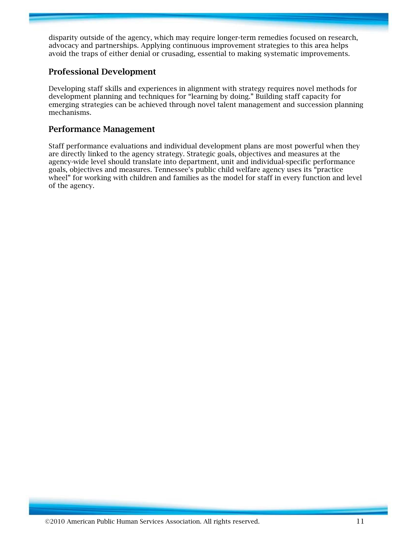disparity outside of the agency, which may require longer-term remedies focused on research, advocacy and partnerships. Applying continuous improvement strategies to this area helps avoid the traps of either denial or crusading, essential to making systematic improvements.

## **Professional Development**

Developing staff skills and experiences in alignment with strategy requires novel methods for development planning and techniques for "learning by doing." Building staff capacity for emerging strategies can be achieved through novel talent management and succession planning mechanisms.

#### **Performance Management**

Staff performance evaluations and individual development plans are most powerful when they are directly linked to the agency strategy. Strategic goals, objectives and measures at the agency-wide level should translate into department, unit and individual-specific performance goals, objectives and measures. Tennessee's public child welfare agency uses its "practice wheel" for working with children and families as the model for staff in every function and level of the agency.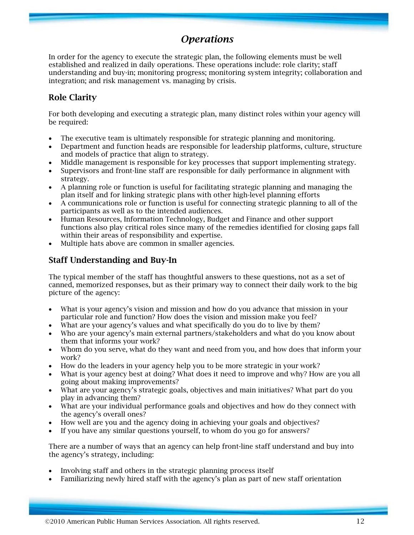# *Operations*

In order for the agency to execute the strategic plan, the following elements must be well established and realized in daily operations. These operations include: role clarity; staff understanding and buy-in; monitoring progress; monitoring system integrity; collaboration and integration; and risk management vs. managing by crisis.

# **Role Clarity**

For both developing and executing a strategic plan, many distinct roles within your agency will be required:

- The executive team is ultimately responsible for strategic planning and monitoring.
- Department and function heads are responsible for leadership platforms, culture, structure and models of practice that align to strategy.
- Middle management is responsible for key processes that support implementing strategy.
- Supervisors and front-line staff are responsible for daily performance in alignment with strategy.
- A planning role or function is useful for facilitating strategic planning and managing the plan itself and for linking strategic plans with other high-level planning efforts
- A communications role or function is useful for connecting strategic planning to all of the participants as well as to the intended audiences.
- Human Resources, Information Technology, Budget and Finance and other support functions also play critical roles since many of the remedies identified for closing gaps fall within their areas of responsibility and expertise.
- Multiple hats above are common in smaller agencies.

# **Staff Understanding and Buy-In**

The typical member of the staff has thoughtful answers to these questions, not as a set of canned, memorized responses, but as their primary way to connect their daily work to the big picture of the agency:

- What is your agency's vision and mission and how do you advance that mission in your particular role and function? How does the vision and mission make you feel?
- What are your agency's values and what specifically do you do to live by them?
- Who are your agency's main external partners/stakeholders and what do you know about them that informs your work?
- Whom do you serve, what do they want and need from you, and how does that inform your work?
- How do the leaders in your agency help you to be more strategic in your work?
- What is your agency best at doing? What does it need to improve and why? How are you all going about making improvements?
- What are your agency's strategic goals, objectives and main initiatives? What part do you play in advancing them?
- What are your individual performance goals and objectives and how do they connect with the agency's overall ones?
- How well are you and the agency doing in achieving your goals and objectives?
- If you have any similar questions yourself, to whom do you go for answers?

There are a number of ways that an agency can help front-line staff understand and buy into the agency's strategy, including:

- Involving staff and others in the strategic planning process itself
- Familiarizing newly hired staff with the agency's plan as part of new staff orientation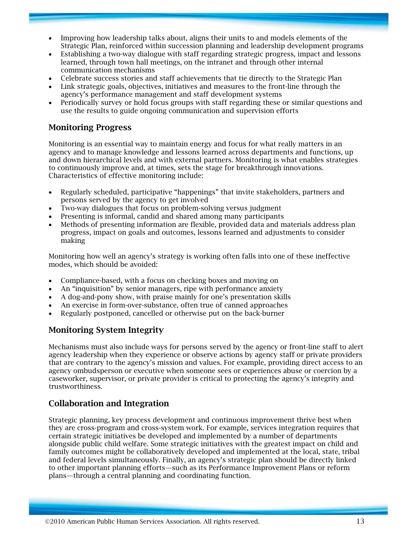- Improving how leadership talks about, aligns their units to and models elements of the Strategic Plan, reinforced within succession planning and leadership development programs
- Establishing a two-way dialogue with staff regarding strategic progress, impact and lessons learned, through town hall meetings, on the intranet and through other internal communication mechanisms
- Celebrate success stories and staff achievements that tie directly to the Strategic Plan
- Link strategic goals, objectives, initiatives and measures to the front-line through the agency's performance management and staff development systems
- Periodically survey or hold focus groups with staff regarding these or similar questions and use the results to guide ongoing communication and supervision efforts

## **Monitoring Progress**

Monitoring is an essential way to maintain energy and focus for what really matters in an agency and to manage knowledge and lessons learned across departments and functions, up and down hierarchical levels and with external partners. Monitoring is what enables strategies to continuously improve and, at times, sets the stage for breakthrough innovations. Characteristics of effective monitoring include:

- Regularly scheduled, participative "happenings" that invite stakeholders, partners and persons served by the agency to get involved
- Two-way dialogues that focus on problem-solving versus judgment
- Presenting is informal, candid and shared among many participants
- Methods of presenting information are flexible, provided data and materials address plan progress, impact on goals and outcomes, lessons learned and adjustments to consider making

Monitoring how well an agency's strategy is working often falls into one of these ineffective modes, which should be avoided:

- Compliance-based, with a focus on checking boxes and moving on
- An "inquisition" by senior managers, ripe with performance anxiety
- A dog-and-pony show, with praise mainly for one's presentation skills
- An exercise in form-over-substance, often true of canned approaches
- Regularly postponed, cancelled or otherwise put on the back-burner

# **Monitoring System Integrity**

Mechanisms must also include ways for persons served by the agency or front-line staff to alert agency leadership when they experience or observe actions by agency staff or private providers that are contrary to the agency's mission and values. For example, providing direct access to an agency ombudsperson or executive when someone sees or experiences abuse or coercion by a caseworker, supervisor, or private provider is critical to protecting the agency's integrity and trustworthiness.

#### **Collaboration and Integration**

Strategic planning, key process development and continuous improvement thrive best when they are cross-program and cross-system work. For example, services integration requires that certain strategic initiatives be developed and implemented by a number of departments alongside public child welfare. Some strategic initiatives with the greatest impact on child and family outcomes might be collaboratively developed and implemented at the local, state, tribal and federal levels simultaneously. Finally, an agency's strategic plan should be directly linked to other important planning efforts—such as its Performance Improvement Plans or reform plans—through a central planning and coordinating function.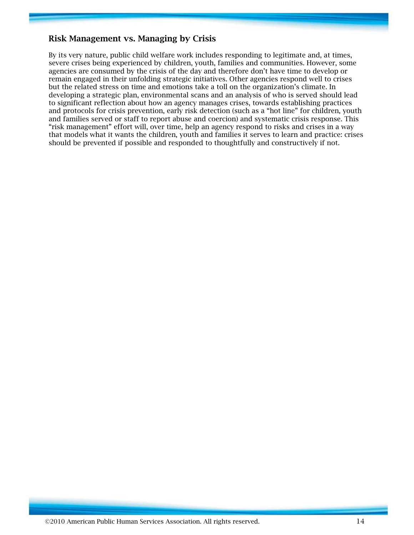## **Risk Management vs. Managing by Crisis**

By its very nature, public child welfare work includes responding to legitimate and, at times, severe crises being experienced by children, youth, families and communities. However, some agencies are consumed by the crisis of the day and therefore don't have time to develop or remain engaged in their unfolding strategic initiatives. Other agencies respond well to crises but the related stress on time and emotions take a toll on the organization's climate. In developing a strategic plan, environmental scans and an analysis of who is served should lead to significant reflection about how an agency manages crises, towards establishing practices and protocols for crisis prevention, early risk detection (such as a "hot line" for children, youth and families served or staff to report abuse and coercion) and systematic crisis response. This "risk management" effort will, over time, help an agency respond to risks and crises in a way that models what it wants the children, youth and families it serves to learn and practice: crises should be prevented if possible and responded to thoughtfully and constructively if not.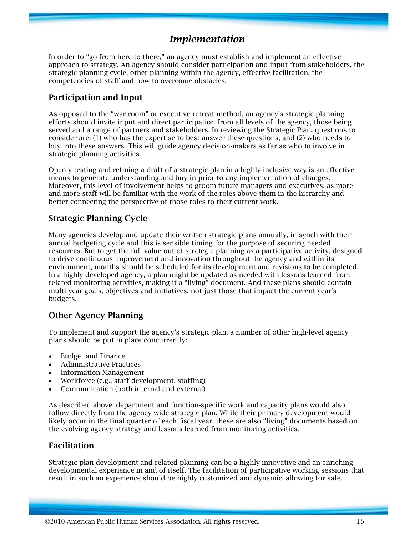# *Implementation*

In order to "go from here to there," an agency must establish and implement an effective approach to strategy. An agency should consider participation and input from stakeholders, the strategic planning cycle, other planning within the agency, effective facilitation, the competencies of staff and how to overcome obstacles.

#### **Participation and Input**

As opposed to the "war room" or executive retreat method, an agency's strategic planning efforts should invite input and direct participation from all levels of the agency, those being served and a range of partners and stakeholders. In reviewing the Strategic Plan**,** questions to consider are: (1) who has the expertise to best answer these questions; and (2) who needs to buy into these answers. This will guide agency decision-makers as far as who to involve in strategic planning activities.

Openly testing and refining a draft of a strategic plan in a highly inclusive way is an effective means to generate understanding and buy-in prior to any implementation of changes. Moreover, this level of involvement helps to groom future managers and executives, as more and more staff will be familiar with the work of the roles above them in the hierarchy and better connecting the perspective of those roles to their current work.

## **Strategic Planning Cycle**

Many agencies develop and update their written strategic plans annually, in synch with their annual budgeting cycle and this is sensible timing for the purpose of securing needed resources. But to get the full value out of strategic planning as a participative activity, designed to drive continuous improvement and innovation throughout the agency and within its environment, months should be scheduled for its development and revisions to be completed. In a highly developed agency, a plan might be updated as needed with lessons learned from related monitoring activities, making it a "living" document. And these plans should contain multi-year goals, objectives and initiatives, not just those that impact the current year's budgets.

#### **Other Agency Planning**

To implement and support the agency's strategic plan, a number of other high-level agency plans should be put in place concurrently:

- Budget and Finance
- Administrative Practices
- Information Management
- Workforce (e.g., staff development, staffing)
- Communication (both internal and external)

As described above, department and function-specific work and capacity plans would also follow directly from the agency-wide strategic plan. While their primary development would likely occur in the final quarter of each fiscal year, these are also "living" documents based on the evolving agency strategy and lessons learned from monitoring activities.

#### **Facilitation**

Strategic plan development and related planning can be a highly innovative and an enriching developmental experience in and of itself. The facilitation of participative working sessions that result in such an experience should be highly customized and dynamic, allowing for safe,